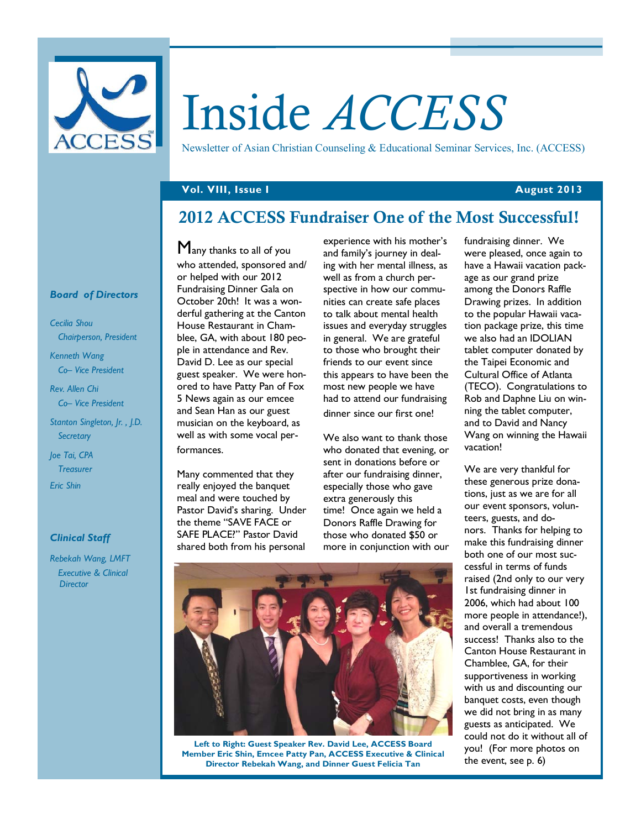

# Inside *ACCESS*

Newsletter of Asian Christian Counseling & Educational Seminar Services, Inc. (ACCESS)

## **Vol. VIII, Issue I August 2013**

# **2012 ACCESS Fundraiser One of the Most Successful!**

#### *Board of Directors*

*Cecilia Shou Chairperson, President* 

*Kenneth Wang Co– Vice President* 

*Rev. Allen Chi Co– Vice President* 

*Stanton Singleton, Jr. , J.D. Secretary* 

*Joe Tai, CPA Treasurer Eric Shin* 

#### *Clinical Staff*

*Rebekah Wang, LMFT Executive & Clinical Director* 

Many thanks to all of you who attended, sponsored and/ or helped with our 2012 Fundraising Dinner Gala on October 20th! It was a wonderful gathering at the Canton House Restaurant in Chamblee, GA, with about 180 people in attendance and Rev. David D. Lee as our special guest speaker. We were honored to have Patty Pan of Fox 5 News again as our emcee and Sean Han as our guest musician on the keyboard, as well as with some vocal performances.

Many commented that they really enjoyed the banquet meal and were touched by Pastor David's sharing. Under the theme "SAVE FACE or SAFE PLACE?" Pastor David shared both from his personal

experience with his mother's and family's journey in dealing with her mental illness, as well as from a church perspective in how our communities can create safe places to talk about mental health issues and everyday struggles in general. We are grateful to those who brought their friends to our event since this appears to have been the most new people we have had to attend our fundraising dinner since our first one!

We also want to thank those who donated that evening, or sent in donations before or after our fundraising dinner, especially those who gave extra generously this time! Once again we held a Donors Raffle Drawing for those who donated \$50 or more in conjunction with our fundraising dinner. We were pleased, once again to have a Hawaii vacation package as our grand prize among the Donors Raffle Drawing prizes. In addition to the popular Hawaii vacation package prize, this time we also had an IDOLIAN tablet computer donated by the Taipei Economic and Cultural Office of Atlanta (TECO). Congratulations to Rob and Daphne Liu on winning the tablet computer, and to David and Nancy Wang on winning the Hawaii vacation!

We are very thankful for these generous prize donations, just as we are for all our event sponsors, volunteers, guests, and donors. Thanks for helping to make this fundraising dinner both one of our most successful in terms of funds raised (2nd only to our very 1st fundraising dinner in 2006, which had about 100 more people in attendance!), and overall a tremendous success! Thanks also to the Canton House Restaurant in Chamblee, GA, for their supportiveness in working with us and discounting our banquet costs, even though we did not bring in as many guests as anticipated. We could not do it without all of you! (For more photos on the event, see p. 6)



**Left to Right: Guest Speaker Rev. David Lee, ACCESS Board Member Eric Shin, Emcee Patty Pan, ACCESS Executive & Clinical Director Rebekah Wang, and Dinner Guest Felicia Tan**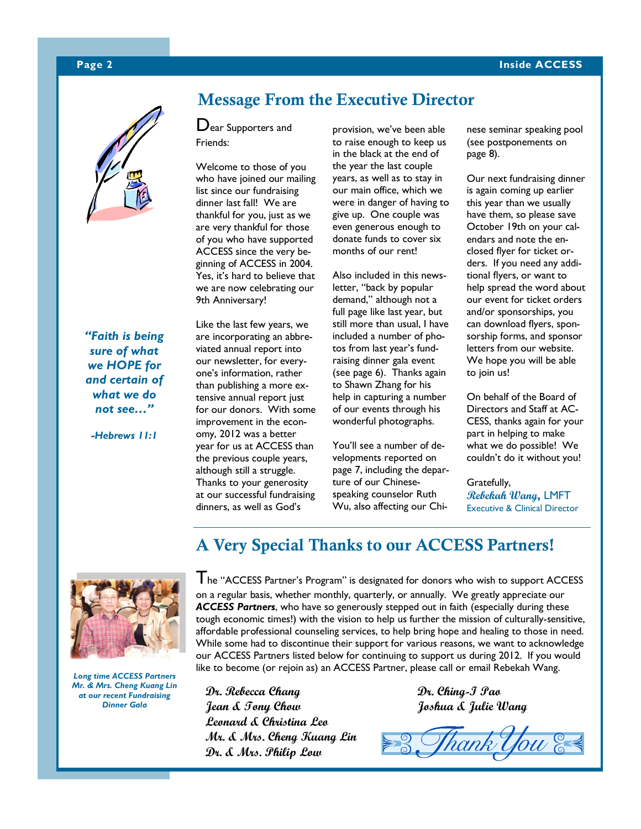## **Page 2** Inside ACCESS



*"Faith is being sure of what we HOPE for and certain of what we do not see…"* 

*-Hebrews 11:1* 

# **Message From the Executive Director**

Dear Supporters and Friends:

Welcome to those of you who have joined our mailing list since our fundraising dinner last fall! We are thankful for you, just as we are very thankful for those of you who have supported ACCESS since the very beginning of ACCESS in 2004. Yes, it's hard to believe that we are now celebrating our 9th Anniversary!

Like the last few years, we are incorporating an abbreviated annual report into our newsletter, for everyone's information, rather than publishing a more extensive annual report just for our donors. With some improvement in the economy, 2012 was a better year for us at ACCESS than the previous couple years, although still a struggle. Thanks to your generosity at our successful fundraising dinners, as well as God's

provision, we've been able to raise enough to keep us in the black at the end of the year the last couple years, as well as to stay in our main office, which we were in danger of having to give up. One couple was even generous enough to donate funds to cover six months of our rent!

Also included in this newsletter, "back by popular demand," although not a full page like last year, but still more than usual, I have included a number of photos from last year's fundraising dinner gala event (see page 6). Thanks again to Shawn Zhang for his help in capturing a number of our events through his wonderful photographs.

You'll see a number of developments reported on page 7, including the departure of our Chinesespeaking counselor Ruth Wu, also affecting our Chinese seminar speaking pool (see postponements on page 8).

Our next fundraising dinner is again coming up earlier this year than we usually have them, so please save October 19th on your calendars and note the enclosed flyer for ticket orders. If you need any additional flyers, or want to help spread the word about our event for ticket orders and/or sponsorships, you can download flyers, sponsorship forms, and sponsor letters from our website. We hope you will be able to join us!

On behalf of the Board of Directors and Staff at AC-CESS, thanks again for your part in helping to make what we do possible! We couldn't do it without you!

Gratefully, **Rebekah Wang,** LMFT Executive & Clinical Director

# **A Very Special Thanks to our ACCESS Partners!**



*Long time ACCESS Partners Mr. & Mrs. Cheng Kuang Lin at our recent Fundraising Dinner Gala* 

The "ACCESS Partner's Program" is designated for donors who wish to support ACCESS on a regular basis, whether monthly, quarterly, or annually. We greatly appreciate our *ACCESS Partners*, who have so generously stepped out in faith (especially during these tough economic times!) with the vision to help us further the mission of culturally-sensitive, affordable professional counseling services, to help bring hope and healing to those in need. While some had to discontinue their support for various reasons, we want to acknowledge our ACCESS Partners listed below for continuing to support us during 2012. If you would like to become (or rejoin as) an ACCESS Partner, please call or email Rebekah Wang.

**Dr. Rebecca Chang Jean & Tony Chow Leonard & Christina Leo Mr. & Mrs. Cheng Kuang Lin Dr. & Mrs. Philip Low** 

**Dr. Ching-I Pao Joshua & Julie Wang** 

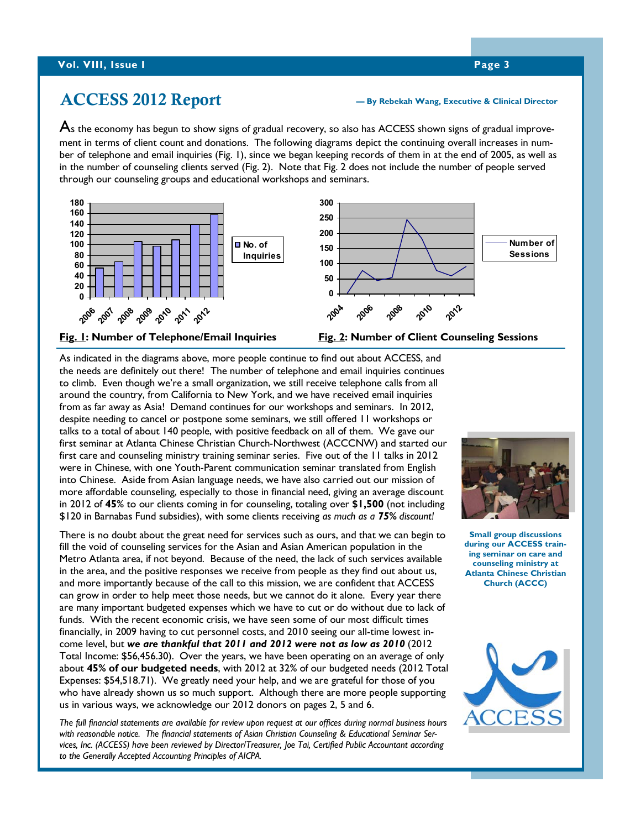# **ACCESS 2012 Report**

#### **— By Rebekah Wang, Executive & Clinical Director**

 $\bm{\mathsf{A}}$ s the economy has begun to show signs of gradual recovery, so also has ACCESS shown signs of gradual improvement in terms of client count and donations. The following diagrams depict the continuing overall increases in number of telephone and email inquiries (Fig. 1), since we began keeping records of them in at the end of 2005, as well as in the number of counseling clients served (Fig. 2). Note that Fig. 2 does not include the number of people served through our counseling groups and educational workshops and seminars.





**Fig. 1: Number of Telephone/Email Inquiries** 

**Fig. 2: Number of Client Counseling Sessions** 

As indicated in the diagrams above, more people continue to find out about ACCESS, and the needs are definitely out there! The number of telephone and email inquiries continues to climb. Even though we're a small organization, we still receive telephone calls from all around the country, from California to New York, and we have received email inquiries from as far away as Asia! Demand continues for our workshops and seminars. In 2012, despite needing to cancel or postpone some seminars, we still offered 11 workshops or talks to a total of about 140 people, with positive feedback on all of them. We gave our first seminar at Atlanta Chinese Christian Church-Northwest (ACCCNW) and started our first care and counseling ministry training seminar series. Five out of the 11 talks in 2012 were in Chinese, with one Youth-Parent communication seminar translated from English into Chinese. Aside from Asian language needs, we have also carried out our mission of more affordable counseling, especially to those in financial need, giving an average discount in 2012 of **45**% to our clients coming in for counseling, totaling over **\$1,500** (not including \$120 in Barnabas Fund subsidies), with some clients receiving *as much as a 75% discount!*

There is no doubt about the great need for services such as ours, and that we can begin to fill the void of counseling services for the Asian and Asian American population in the Metro Atlanta area, if not beyond. Because of the need, the lack of such services available in the area, and the positive responses we receive from people as they find out about us, and more importantly because of the call to this mission, we are confident that ACCESS can grow in order to help meet those needs, but we cannot do it alone. Every year there are many important budgeted expenses which we have to cut or do without due to lack of funds. With the recent economic crisis, we have seen some of our most difficult times financially, in 2009 having to cut personnel costs, and 2010 seeing our all-time lowest income level, but *we are thankful that 2011 and 2012 were not as low as 2010* (2012 Total Income: \$56,456.30). Over the years, we have been operating on an average of only about **45% of our budgeted needs**, with 2012 at 32% of our budgeted needs (2012 Total Expenses: \$54,518.71). We greatly need your help, and we are grateful for those of you who have already shown us so much support. Although there are more people supporting us in various ways, we acknowledge our 2012 donors on pages 2, 5 and 6.

*The full financial statements are available for review upon request at our offices during normal business hours with reasonable notice. The financial statements of Asian Christian Counseling & Educational Seminar Services, Inc. (ACCESS) have been reviewed by Director/Treasurer, Joe Tai, Certified Public Accountant according to the Generally Accepted Accounting Principles of AICPA.*



**Small group discussions during our ACCESS training seminar on care and counseling ministry at Atlanta Chinese Christian Church (ACCC)** 

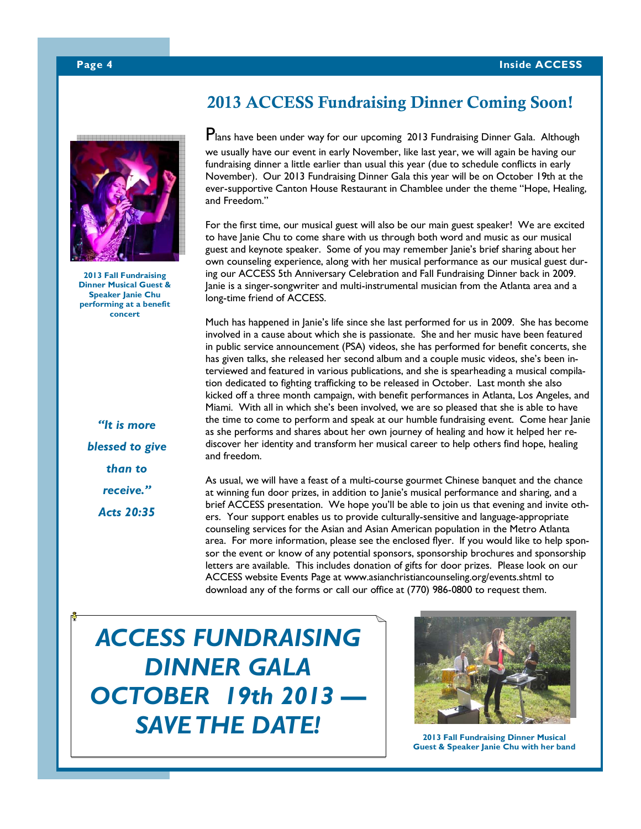

**2013 Fall Fundraising Dinner Musical Guest & Speaker Janie Chu performing at a benefit concert** 

*"It is more blessed to give than to receive." Acts 20:35* 

# **2013 ACCESS Fundraising Dinner Coming Soon!**

Plans have been under way for our upcoming 2013 Fundraising Dinner Gala. Although we usually have our event in early November, like last year, we will again be having our fundraising dinner a little earlier than usual this year (due to schedule conflicts in early November). Our 2013 Fundraising Dinner Gala this year will be on October 19th at the ever-supportive Canton House Restaurant in Chamblee under the theme "Hope, Healing, and Freedom."

For the first time, our musical guest will also be our main guest speaker! We are excited to have Janie Chu to come share with us through both word and music as our musical guest and keynote speaker. Some of you may remember Janie's brief sharing about her own counseling experience, along with her musical performance as our musical guest during our ACCESS 5th Anniversary Celebration and Fall Fundraising Dinner back in 2009. Janie is a singer-songwriter and multi-instrumental musician from the Atlanta area and a long-time friend of ACCESS.

Much has happened in Janie's life since she last performed for us in 2009. She has become involved in a cause about which she is passionate. She and her music have been featured in public service announcement (PSA) videos, she has performed for benefit concerts, she has given talks, she released her second album and a couple music videos, she's been interviewed and featured in various publications, and she is spearheading a musical compilation dedicated to fighting trafficking to be released in October. Last month she also kicked off a three month campaign, with benefit performances in Atlanta, Los Angeles, and Miami. With all in which she's been involved, we are so pleased that she is able to have the time to come to perform and speak at our humble fundraising event. Come hear Janie as she performs and shares about her own journey of healing and how it helped her rediscover her identity and transform her musical career to help others find hope, healing and freedom.

As usual, we will have a feast of a multi-course gourmet Chinese banquet and the chance at winning fun door prizes, in addition to Janie's musical performance and sharing, and a brief ACCESS presentation. We hope you'll be able to join us that evening and invite others. Your support enables us to provide culturally-sensitive and language-appropriate counseling services for the Asian and Asian American population in the Metro Atlanta area. For more information, please see the enclosed flyer. If you would like to help sponsor the event or know of any potential sponsors, sponsorship brochures and sponsorship letters are available. This includes donation of gifts for door prizes. Please look on our ACCESS website Events Page at www.asianchristiancounseling.org/events.shtml to download any of the forms or call our office at (770) 986-0800 to request them.

*ACCESS FUNDRAISING DINNER GALA OCTOBER 19th 2013 — SAVE THE DATE!* 



**2013 Fall Fundraising Dinner Musical Guest & Speaker Janie Chu with her band**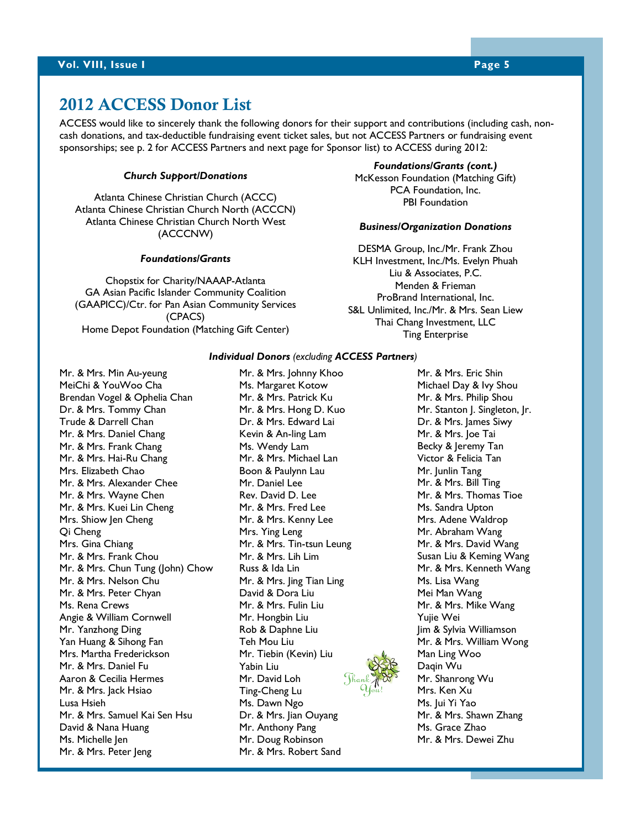# **2012 ACCESS Donor List**

ACCESS would like to sincerely thank the following donors for their support and contributions (including cash, noncash donations, and tax-deductible fundraising event ticket sales, but not ACCESS Partners or fundraising event sponsorships; see p. 2 for ACCESS Partners and next page for Sponsor list) to ACCESS during 2012:

#### *Church Support/Donations*

Atlanta Chinese Christian Church (ACCC) Atlanta Chinese Christian Church North (ACCCN) Atlanta Chinese Christian Church North West (ACCCNW)

#### *Foundations/Grants*

Chopstix for Charity/NAAAP-Atlanta GA Asian Pacific Islander Community Coalition (GAAPICC)/Ctr. for Pan Asian Community Services (CPACS) Home Depot Foundation (Matching Gift Center)

#### *Foundations/Grants (cont.)* McKesson Foundation (Matching Gift) PCA Foundation, Inc. PBI Foundation

#### *Business/Organization Donations*

DESMA Group, Inc./Mr. Frank Zhou KLH Investment, Inc./Ms. Evelyn Phuah Liu & Associates, P.C. Menden & Frieman ProBrand International, Inc. S&L Unlimited, Inc./Mr. & Mrs. Sean Liew Thai Chang Investment, LLC Ting Enterprise

#### *Individual Donors (excluding ACCESS Partners)*

Mr. & Mrs. Min Au-yeung MeiChi & YouWoo Cha Brendan Vogel & Ophelia Chan Dr. & Mrs. Tommy Chan Trude & Darrell Chan Mr. & Mrs. Daniel Chang Mr. & Mrs. Frank Chang Mr. & Mrs. Hai-Ru Chang Mrs. Elizabeth Chao Mr. & Mrs. Alexander Chee Mr. & Mrs. Wayne Chen Mr. & Mrs. Kuei Lin Cheng Mrs. Shiow Jen Cheng Qi Cheng Mrs. Gina Chiang Mr. & Mrs. Frank Chou Mr. & Mrs. Chun Tung (John) Chow Mr. & Mrs. Nelson Chu Mr. & Mrs. Peter Chyan Ms. Rena Crews Angie & William Cornwell Mr. Yanzhong Ding Yan Huang & Sihong Fan Mrs. Martha Frederickson Mr. & Mrs. Daniel Fu Aaron & Cecilia Hermes Mr. & Mrs. Jack Hsiao Lusa Hsieh Mr. & Mrs. Samuel Kai Sen Hsu David & Nana Huang Ms. Michelle Jen Mr. & Mrs. Peter Jeng

Mr. & Mrs. Johnny Khoo Ms. Margaret Kotow Mr. & Mrs. Patrick Ku Mr. & Mrs. Hong D. Kuo Dr. & Mrs. Edward Lai Kevin & An-ling Lam Ms. Wendy Lam Mr. & Mrs. Michael Lan Boon & Paulynn Lau Mr. Daniel Lee Rev. David D. Lee Mr. & Mrs. Fred Lee Mr. & Mrs. Kenny Lee Mrs. Ying Leng Mr. & Mrs. Tin-tsun Leung Mr. & Mrs. Lih Lim Russ & Ida Lin Mr. & Mrs. Jing Tian Ling David & Dora Liu Mr. & Mrs. Fulin Liu Mr. Hongbin Liu Rob & Daphne Liu Teh Mou Liu Mr. Tiebin (Kevin) Liu Yabin Liu Mr. David Loh Ting-Cheng Lu Ms. Dawn Ngo Dr. & Mrs. Jian Ouyang Mr. Anthony Pang Mr. Doug Robinson Mr. & Mrs. Robert Sand

Mr. & Mrs. Eric Shin Michael Day & Ivy Shou Mr. & Mrs. Philip Shou Mr. Stanton J. Singleton, Jr. Dr. & Mrs. James Siwy Mr. & Mrs. Joe Tai Becky & Jeremy Tan Victor & Felicia Tan Mr. Junlin Tang Mr. & Mrs. Bill Ting Mr. & Mrs. Thomas Tioe Ms. Sandra Upton Mrs. Adene Waldrop Mr. Abraham Wang Mr. & Mrs. David Wang Susan Liu & Keming Wang Mr. & Mrs. Kenneth Wang Ms. Lisa Wang Mei Man Wang Mr. & Mrs. Mike Wang Yujie Wei Jim & Sylvia Williamson Mr. & Mrs. William Wong Man Ling Woo Daqin Wu Mr. Shanrong Wu Mrs. Ken Xu Ms. Jui Yi Yao Mr. & Mrs. Shawn Zhang Ms. Grace Zhao Mr. & Mrs. Dewei Zhu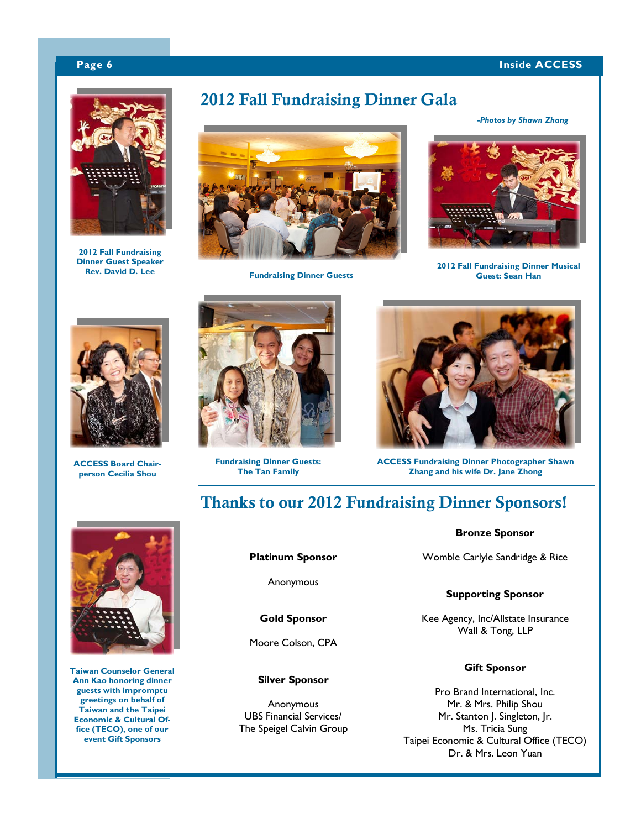#### **Page 6** Inside ACCESS **Inside ACCESS**



**2012 Fall Fundraising Dinner Guest Speaker** 

# **2012 Fall Fundraising Dinner Gala**



**Fundraising Dinner Guests** 

*-Photos by Shawn Zhang*



**2012 Fall Fundraising Dinner Musical Guest: Sean Han** 



**ACCESS Board Chairperson Cecilia Shou** 



**Fundraising Dinner Guests: The Tan Family** 



**ACCESS Fundraising Dinner Photographer Shawn Zhang and his wife Dr. Jane Zhong** 

# **Thanks to our 2012 Fundraising Dinner Sponsors!**



**Taiwan Counselor General Ann Kao honoring dinner guests with impromptu greetings on behalf of Taiwan and the Taipei Economic & Cultural Office (TECO), one of our event Gift Sponsors** 

#### **Platinum Sponsor**

Anonymous

**Gold Sponsor** 

Moore Colson, CPA

#### **Silver Sponsor**

Anonymous UBS Financial Services/ The Speigel Calvin Group

#### **Bronze Sponsor**

Womble Carlyle Sandridge & Rice

#### **Supporting Sponsor**

Kee Agency, Inc/Allstate Insurance Wall & Tong, LLP

#### **Gift Sponsor**

Pro Brand International, Inc. Mr. & Mrs. Philip Shou Mr. Stanton J. Singleton, Jr. Ms. Tricia Sung Taipei Economic & Cultural Office (TECO) Dr. & Mrs. Leon Yuan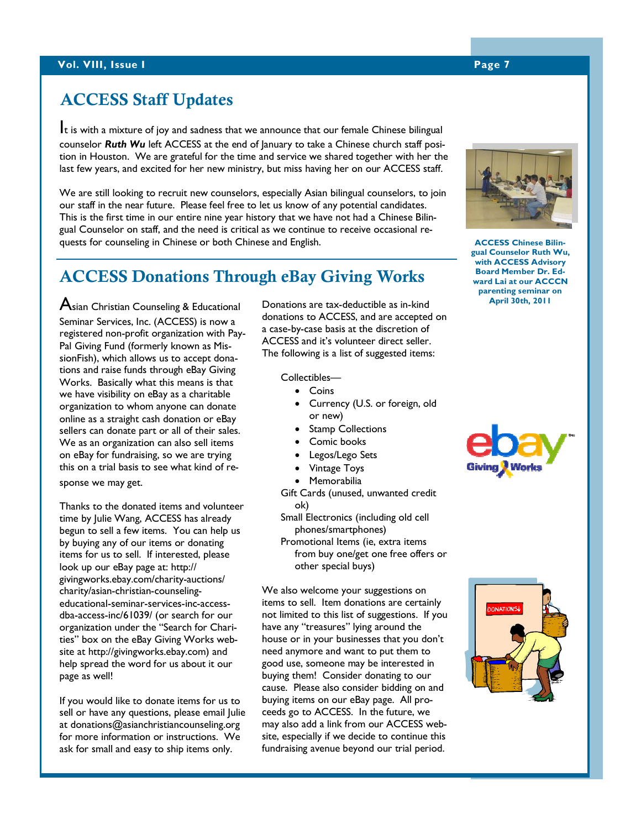# **ACCESS Staff Updates**

It is with a mixture of joy and sadness that we announce that our female Chinese bilingual counselor *Ruth Wu* left ACCESS at the end of January to take a Chinese church staff position in Houston. We are grateful for the time and service we shared together with her the last few years, and excited for her new ministry, but miss having her on our ACCESS staff.

We are still looking to recruit new counselors, especially Asian bilingual counselors, to join our staff in the near future. Please feel free to let us know of any potential candidates. This is the first time in our entire nine year history that we have not had a Chinese Bilingual Counselor on staff, and the need is critical as we continue to receive occasional requests for counseling in Chinese or both Chinese and English.

#### **Clinical & Admin (45.6%) ACCESS Donations Through eBay Giving Works**

 ${\mathsf A}$ sian Christian Counseling & Educational  ${\mathsf A}$ Seminar Services, Inc. (ACCESS) is now a registered non-profit organization with Pay-Pal Giving Fund (formerly known as MissionFish), which allows us to accept donations and raise funds through eBay Giving Works. Basically what this means is that we have visibility on eBay as a charitable organization to whom anyone can donate online as a straight cash donation or eBay sellers can donate part or all of their sales. We as an organization can also sell items on eBay for fundraising, so we are trying this on a trial basis to see what kind of response we may get.

Thanks to the donated items and volunteer time by Julie Wang, ACCESS has already begun to sell a few items. You can help us by buying any of our items or donating items for us to sell. If interested, please look up our eBay page at: http:// givingworks.ebay.com/charity-auctions/ charity/asian-christian-counselingeducational-seminar-services-inc-accessdba-access-inc/61039/ (or search for our organization under the "Search for Charities" box on the eBay Giving Works website at http://givingworks.ebay.com) and help spread the word for us about it our page as well!

If you would like to donate items for us to sell or have any questions, please email Julie at donations@asianchristiancounseling.org for more information or instructions. We ask for small and easy to ship items only.

donations to ACCESS, and are accepted on **April 30th, 2011** Donations are tax-deductible as in-kind a case-by-case basis at the discretion of ACCESS and it's volunteer direct seller. The following is a list of suggested items:

Collectibles—

- Coins
- Currency (U.S. or foreign, old or new)
- **Stamp Collections**
- Comic books
- Legos/Lego Sets
- Vintage Toys
- **Memorabilia**

Gift Cards (unused, unwanted credit ok)

Small Electronics (including old cell phones/smartphones)

Promotional Items (ie, extra items from buy one/get one free offers or other special buys)

We also welcome your suggestions on items to sell. Item donations are certainly not limited to this list of suggestions. If you have any "treasures" lying around the house or in your businesses that you don't need anymore and want to put them to good use, someone may be interested in buying them! Consider donating to our cause. Please also consider bidding on and buying items on our eBay page. All proceeds go to ACCESS. In the future, we may also add a link from our ACCESS website, especially if we decide to continue this fundraising avenue beyond our trial period.

**ACCESS Chinese Bilingual Counselor Ruth Wu, with ACCESS Advisory** 

**Board Member Dr. Edward Lai at our ACCCN parenting seminar on**